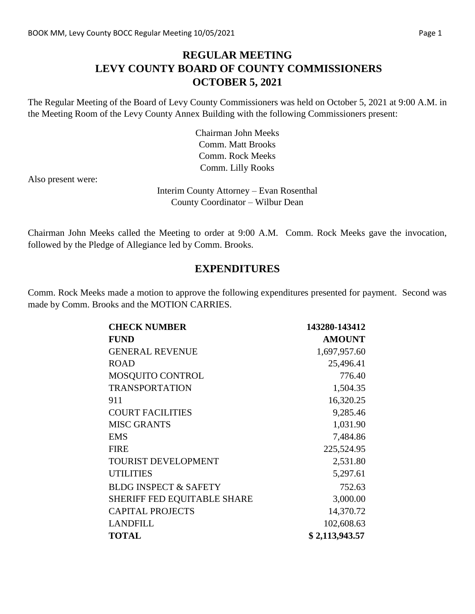### **REGULAR MEETING LEVY COUNTY BOARD OF COUNTY COMMISSIONERS OCTOBER 5, 2021**

The Regular Meeting of the Board of Levy County Commissioners was held on October 5, 2021 at 9:00 A.M. in the Meeting Room of the Levy County Annex Building with the following Commissioners present:

> Chairman John Meeks Comm. Matt Brooks Comm. Rock Meeks Comm. Lilly Rooks

Also present were:

Interim County Attorney – Evan Rosenthal County Coordinator – Wilbur Dean

Chairman John Meeks called the Meeting to order at 9:00 A.M. Comm. Rock Meeks gave the invocation, followed by the Pledge of Allegiance led by Comm. Brooks.

#### **EXPENDITURES**

Comm. Rock Meeks made a motion to approve the following expenditures presented for payment. Second was made by Comm. Brooks and the MOTION CARRIES.

| <b>CHECK NUMBER</b>              | 143280-143412  |
|----------------------------------|----------------|
| <b>FUND</b>                      | <b>AMOUNT</b>  |
| <b>GENERAL REVENUE</b>           | 1,697,957.60   |
| <b>ROAD</b>                      | 25,496.41      |
| MOSQUITO CONTROL                 | 776.40         |
| <b>TRANSPORTATION</b>            | 1,504.35       |
| 911                              | 16,320.25      |
| <b>COURT FACILITIES</b>          | 9,285.46       |
| <b>MISC GRANTS</b>               | 1,031.90       |
| <b>EMS</b>                       | 7,484.86       |
| <b>FIRE</b>                      | 225,524.95     |
| TOURIST DEVELOPMENT              | 2,531.80       |
| <b>UTILITIES</b>                 | 5,297.61       |
| <b>BLDG INSPECT &amp; SAFETY</b> | 752.63         |
| SHERIFF FED EQUITABLE SHARE      | 3,000.00       |
| <b>CAPITAL PROJECTS</b>          | 14,370.72      |
| <b>LANDFILL</b>                  | 102,608.63     |
| <b>TOTAL</b>                     | \$2,113,943.57 |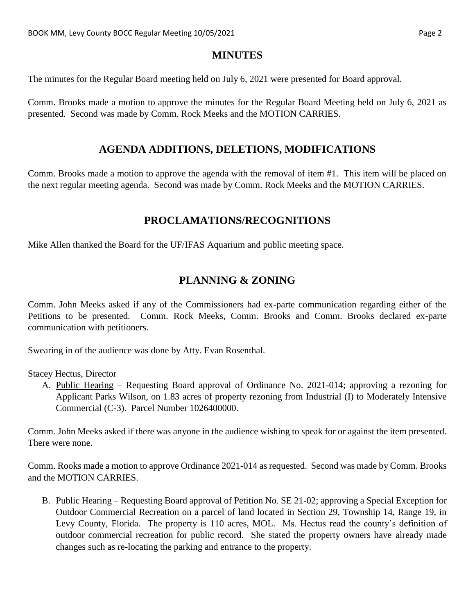#### **MINUTES**

The minutes for the Regular Board meeting held on July 6, 2021 were presented for Board approval.

Comm. Brooks made a motion to approve the minutes for the Regular Board Meeting held on July 6, 2021 as presented. Second was made by Comm. Rock Meeks and the MOTION CARRIES.

#### **AGENDA ADDITIONS, DELETIONS, MODIFICATIONS**

Comm. Brooks made a motion to approve the agenda with the removal of item #1. This item will be placed on the next regular meeting agenda. Second was made by Comm. Rock Meeks and the MOTION CARRIES.

### **PROCLAMATIONS/RECOGNITIONS**

Mike Allen thanked the Board for the UF/IFAS Aquarium and public meeting space.

# **PLANNING & ZONING**

Comm. John Meeks asked if any of the Commissioners had ex-parte communication regarding either of the Petitions to be presented. Comm. Rock Meeks, Comm. Brooks and Comm. Brooks declared ex-parte communication with petitioners.

Swearing in of the audience was done by Atty. Evan Rosenthal.

Stacey Hectus, Director

A. Public Hearing – Requesting Board approval of Ordinance No. 2021-014; approving a rezoning for Applicant Parks Wilson, on 1.83 acres of property rezoning from Industrial (I) to Moderately Intensive Commercial (C-3). Parcel Number 1026400000.

Comm. John Meeks asked if there was anyone in the audience wishing to speak for or against the item presented. There were none.

Comm. Rooks made a motion to approve Ordinance 2021-014 as requested. Second was made by Comm. Brooks and the MOTION CARRIES.

B. Public Hearing – Requesting Board approval of Petition No. SE 21-02; approving a Special Exception for Outdoor Commercial Recreation on a parcel of land located in Section 29, Township 14, Range 19, in Levy County, Florida. The property is 110 acres, MOL. Ms. Hectus read the county's definition of outdoor commercial recreation for public record. She stated the property owners have already made changes such as re-locating the parking and entrance to the property.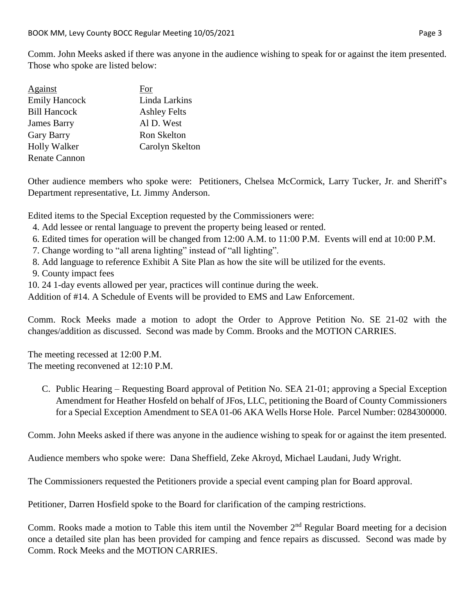Comm. John Meeks asked if there was anyone in the audience wishing to speak for or against the item presented. Those who spoke are listed below:

| Against              | For                 |
|----------------------|---------------------|
| <b>Emily Hancock</b> | Linda Larkins       |
| <b>Bill Hancock</b>  | <b>Ashley Felts</b> |
| <b>James Barry</b>   | Al D. West          |
| <b>Gary Barry</b>    | Ron Skelton         |
| <b>Holly Walker</b>  | Carolyn Skelton     |
| <b>Renate Cannon</b> |                     |

Other audience members who spoke were: Petitioners, Chelsea McCormick, Larry Tucker, Jr. and Sheriff's Department representative, Lt. Jimmy Anderson.

Edited items to the Special Exception requested by the Commissioners were:

- 4. Add lessee or rental language to prevent the property being leased or rented.
- 6. Edited times for operation will be changed from 12:00 A.M. to 11:00 P.M. Events will end at 10:00 P.M.
- 7. Change wording to "all arena lighting" instead of "all lighting".
- 8. Add language to reference Exhibit A Site Plan as how the site will be utilized for the events.
- 9. County impact fees
- 10. 24 1-day events allowed per year, practices will continue during the week.

Addition of #14. A Schedule of Events will be provided to EMS and Law Enforcement.

Comm. Rock Meeks made a motion to adopt the Order to Approve Petition No. SE 21-02 with the changes/addition as discussed. Second was made by Comm. Brooks and the MOTION CARRIES.

The meeting recessed at 12:00 P.M. The meeting reconvened at 12:10 P.M.

C. Public Hearing – Requesting Board approval of Petition No. SEA 21-01; approving a Special Exception Amendment for Heather Hosfeld on behalf of JFos, LLC, petitioning the Board of County Commissioners for a Special Exception Amendment to SEA 01-06 AKA Wells Horse Hole. Parcel Number: 0284300000.

Comm. John Meeks asked if there was anyone in the audience wishing to speak for or against the item presented.

Audience members who spoke were: Dana Sheffield, Zeke Akroyd, Michael Laudani, Judy Wright.

The Commissioners requested the Petitioners provide a special event camping plan for Board approval.

Petitioner, Darren Hosfield spoke to the Board for clarification of the camping restrictions.

Comm. Rooks made a motion to Table this item until the November 2<sup>nd</sup> Regular Board meeting for a decision once a detailed site plan has been provided for camping and fence repairs as discussed. Second was made by Comm. Rock Meeks and the MOTION CARRIES.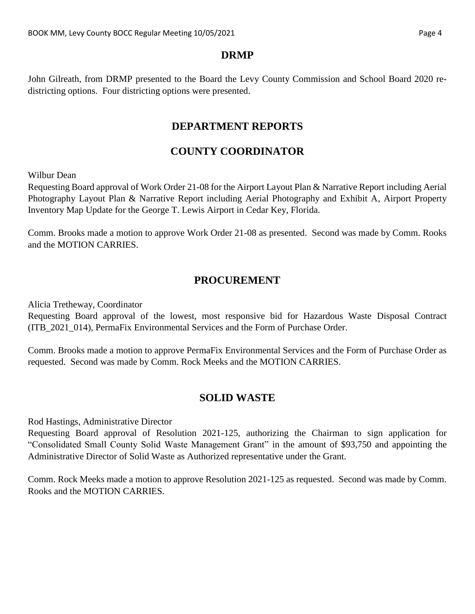John Gilreath, from DRMP presented to the Board the Levy County Commission and School Board 2020 redistricting options. Four districting options were presented.

#### **DEPARTMENT REPORTS**

## **COUNTY COORDINATOR**

Wilbur Dean

Requesting Board approval of Work Order 21-08 for the Airport Layout Plan & Narrative Report including Aerial Photography Layout Plan & Narrative Report including Aerial Photography and Exhibit A, Airport Property Inventory Map Update for the George T. Lewis Airport in Cedar Key, Florida.

Comm. Brooks made a motion to approve Work Order 21-08 as presented. Second was made by Comm. Rooks and the MOTION CARRIES.

# **PROCUREMENT**

Alicia Tretheway, Coordinator

Requesting Board approval of the lowest, most responsive bid for Hazardous Waste Disposal Contract (ITB\_2021\_014), PermaFix Environmental Services and the Form of Purchase Order.

Comm. Brooks made a motion to approve PermaFix Environmental Services and the Form of Purchase Order as requested. Second was made by Comm. Rock Meeks and the MOTION CARRIES.

### **SOLID WASTE**

Rod Hastings, Administrative Director

Requesting Board approval of Resolution 2021-125, authorizing the Chairman to sign application for "Consolidated Small County Solid Waste Management Grant" in the amount of \$93,750 and appointing the Administrative Director of Solid Waste as Authorized representative under the Grant.

Comm. Rock Meeks made a motion to approve Resolution 2021-125 as requested. Second was made by Comm. Rooks and the MOTION CARRIES.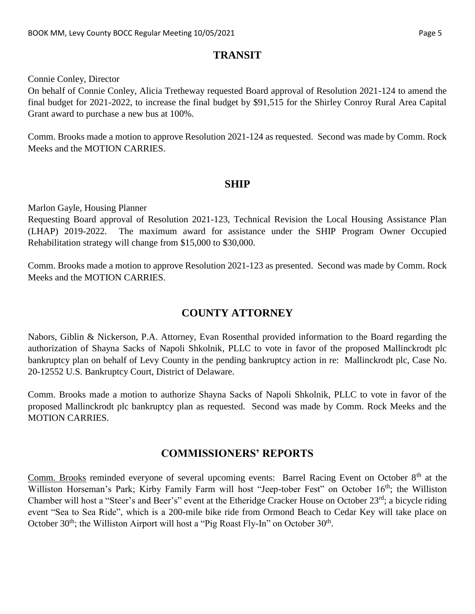#### **TRANSIT**

Connie Conley, Director

On behalf of Connie Conley, Alicia Tretheway requested Board approval of Resolution 2021-124 to amend the final budget for 2021-2022, to increase the final budget by \$91,515 for the Shirley Conroy Rural Area Capital Grant award to purchase a new bus at 100%.

Comm. Brooks made a motion to approve Resolution 2021-124 as requested. Second was made by Comm. Rock Meeks and the MOTION CARRIES.

#### **SHIP**

Marlon Gayle, Housing Planner

Requesting Board approval of Resolution 2021-123, Technical Revision the Local Housing Assistance Plan (LHAP) 2019-2022. The maximum award for assistance under the SHIP Program Owner Occupied Rehabilitation strategy will change from \$15,000 to \$30,000.

Comm. Brooks made a motion to approve Resolution 2021-123 as presented. Second was made by Comm. Rock Meeks and the MOTION CARRIES.

## **COUNTY ATTORNEY**

Nabors, Giblin & Nickerson, P.A. Attorney, Evan Rosenthal provided information to the Board regarding the authorization of Shayna Sacks of Napoli Shkolnik, PLLC to vote in favor of the proposed Mallinckrodt plc bankruptcy plan on behalf of Levy County in the pending bankruptcy action in re: Mallinckrodt plc, Case No. 20-12552 U.S. Bankruptcy Court, District of Delaware.

Comm. Brooks made a motion to authorize Shayna Sacks of Napoli Shkolnik, PLLC to vote in favor of the proposed Mallinckrodt plc bankruptcy plan as requested. Second was made by Comm. Rock Meeks and the MOTION CARRIES.

### **COMMISSIONERS' REPORTS**

Comm. Brooks reminded everyone of several upcoming events: Barrel Racing Event on October 8<sup>th</sup> at the Williston Horseman's Park; Kirby Family Farm will host "Jeep-tober Fest" on October 16<sup>th</sup>; the Williston Chamber will host a "Steer's and Beer's" event at the Etheridge Cracker House on October 23rd; a bicycle riding event "Sea to Sea Ride", which is a 200-mile bike ride from Ormond Beach to Cedar Key will take place on October  $30<sup>th</sup>$ ; the Williston Airport will host a "Pig Roast Fly-In" on October  $30<sup>th</sup>$ .